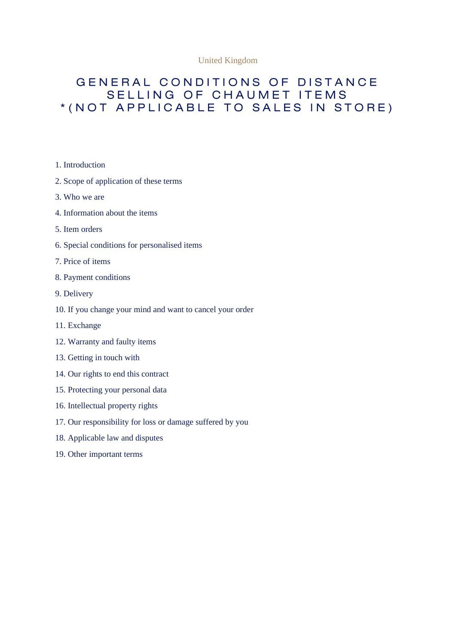#### United Kingdom

# GENERAL CONDITIONS OF DISTANCE SELLING OF CHAUMET ITEMS \* (NOT APPLICABLE TO SALES IN STORE)

- 1. Introduction
- 2. Scope of application of these terms
- 3. Who we are
- 4. Information about the items
- 5. Item orders
- 6. Special conditions for personalised items
- 7. Price of items
- 8. Payment conditions
- 9. Delivery
- 10. If you change your mind and want to cancel your order
- 11. Exchange
- 12. Warranty and faulty items
- 13. Getting in touch with
- 14. Our rights to end this contract
- 15. Protecting your personal data
- 16. Intellectual property rights
- 17. Our responsibility for loss or damage suffered by you
- 18. Applicable law and disputes
- 19. Other important terms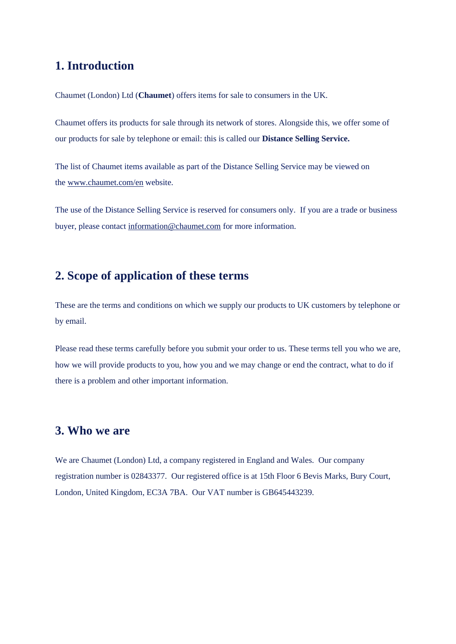# **1. Introduction**

Chaumet (London) Ltd (**Chaumet**) offers items for sale to consumers in the UK.

Chaumet offers its products for sale through its network of stores. Alongside this, we offer some of our products for sale by telephone or email: this is called our **Distance Selling Service.**

The list of Chaumet items available as part of the Distance Selling Service may be viewed on the [www.chaumet.com/en](http://www.chaumet.com/en) website.

The use of the Distance Selling Service is reserved for consumers only. If you are a trade or business buyer, please contact [information@chaumet.com](mailto:information@chaumet.com) for more information.

## **2. Scope of application of these terms**

These are the terms and conditions on which we supply our products to UK customers by telephone or by email.

Please read these terms carefully before you submit your order to us. These terms tell you who we are, how we will provide products to you, how you and we may change or end the contract, what to do if there is a problem and other important information.

#### **3. Who we are**

We are Chaumet (London) Ltd, a company registered in England and Wales. Our company registration number is 02843377. Our registered office is at 15th Floor 6 Bevis Marks, Bury Court, London, United Kingdom, EC3A 7BA. Our VAT number is GB645443239.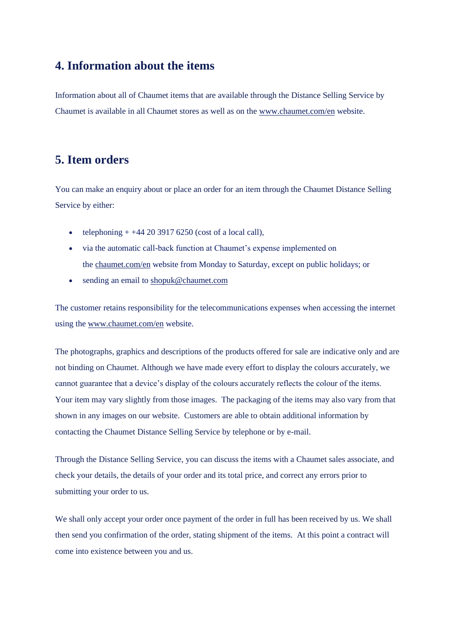## **4. Information about the items**

Information about all of Chaumet items that are available through the Distance Selling Service by Chaumet is available in all Chaumet stores as well as on the [www.chaumet.com/en](http://www.chaumet.com/enw) website.

# **5. Item orders**

You can make an enquiry about or place an order for an item through the Chaumet Distance Selling Service by either:

- telephoning  $+ +442039176250$  (cost of a local call),
- via the automatic call-back function at Chaumet's expense implemented on the [chaumet.com/en](http://www.chaumet.com/enw) website from Monday to Saturday, except on public holidays; or
- sending an email to [shopuk@chaumet.com](mailto:shopuk@chaumet.com)

The customer retains responsibility for the telecommunications expenses when accessing the internet using the [www.chaumet.com/en](http://www.chaumet.com/en) website.

The photographs, graphics and descriptions of the products offered for sale are indicative only and are not binding on Chaumet. Although we have made every effort to display the colours accurately, we cannot guarantee that a device's display of the colours accurately reflects the colour of the items. Your item may vary slightly from those images. The packaging of the items may also vary from that shown in any images on our website. Customers are able to obtain additional information by contacting the Chaumet Distance Selling Service by telephone or by e-mail.

Through the Distance Selling Service, you can discuss the items with a Chaumet sales associate, and check your details, the details of your order and its total price, and correct any errors prior to submitting your order to us.

We shall only accept your order once payment of the order in full has been received by us. We shall then send you confirmation of the order, stating shipment of the items. At this point a contract will come into existence between you and us.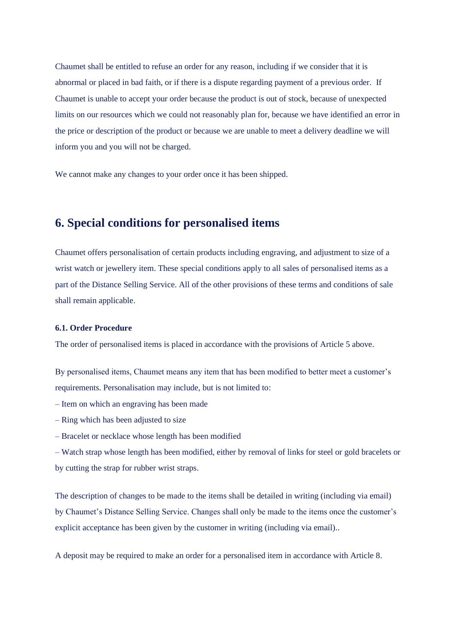Chaumet shall be entitled to refuse an order for any reason, including if we consider that it is abnormal or placed in bad faith, or if there is a dispute regarding payment of a previous order. If Chaumet is unable to accept your order because the product is out of stock, because of unexpected limits on our resources which we could not reasonably plan for, because we have identified an error in the price or description of the product or because we are unable to meet a delivery deadline we will inform you and you will not be charged.

We cannot make any changes to your order once it has been shipped.

# **6. Special conditions for personalised items**

Chaumet offers personalisation of certain products including engraving, and adjustment to size of a wrist watch or jewellery item. These special conditions apply to all sales of personalised items as a part of the Distance Selling Service. All of the other provisions of these terms and conditions of sale shall remain applicable.

#### **6.1. Order Procedure**

The order of personalised items is placed in accordance with the provisions of Article 5 above.

By personalised items, Chaumet means any item that has been modified to better meet a customer's requirements. Personalisation may include, but is not limited to:

- Item on which an engraving has been made
- Ring which has been adjusted to size
- Bracelet or necklace whose length has been modified

– Watch strap whose length has been modified, either by removal of links for steel or gold bracelets or by cutting the strap for rubber wrist straps.

The description of changes to be made to the items shall be detailed in writing (including via email) by Chaumet's Distance Selling Service. Changes shall only be made to the items once the customer's explicit acceptance has been given by the customer in writing (including via email)..

A deposit may be required to make an order for a personalised item in accordance with Article 8.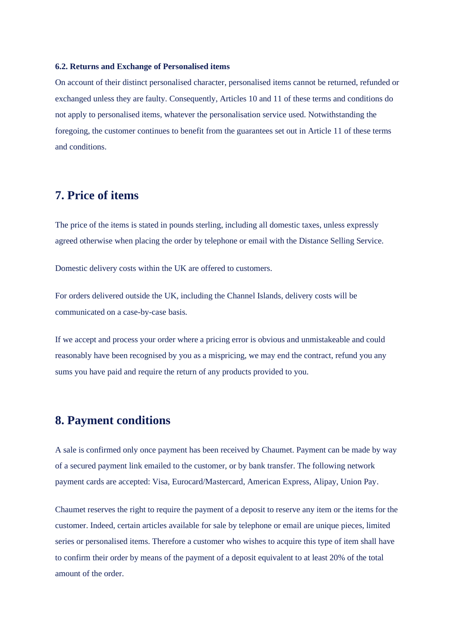#### **6.2. Returns and Exchange of Personalised items**

On account of their distinct personalised character, personalised items cannot be returned, refunded or exchanged unless they are faulty. Consequently, Articles 10 and 11 of these terms and conditions do not apply to personalised items, whatever the personalisation service used. Notwithstanding the foregoing, the customer continues to benefit from the guarantees set out in Article 11 of these terms and conditions.

#### **7. Price of items**

The price of the items is stated in pounds sterling, including all domestic taxes, unless expressly agreed otherwise when placing the order by telephone or email with the Distance Selling Service.

Domestic delivery costs within the UK are offered to customers.

For orders delivered outside the UK, including the Channel Islands, delivery costs will be communicated on a case-by-case basis.

If we accept and process your order where a pricing error is obvious and unmistakeable and could reasonably have been recognised by you as a mispricing, we may end the contract, refund you any sums you have paid and require the return of any products provided to you.

### **8. Payment conditions**

A sale is confirmed only once payment has been received by Chaumet. Payment can be made by way of a secured payment link emailed to the customer, or by bank transfer. The following network payment cards are accepted: Visa, Eurocard/Mastercard, American Express, Alipay, Union Pay.

Chaumet reserves the right to require the payment of a deposit to reserve any item or the items for the customer. Indeed, certain articles available for sale by telephone or email are unique pieces, limited series or personalised items. Therefore a customer who wishes to acquire this type of item shall have to confirm their order by means of the payment of a deposit equivalent to at least 20% of the total amount of the order.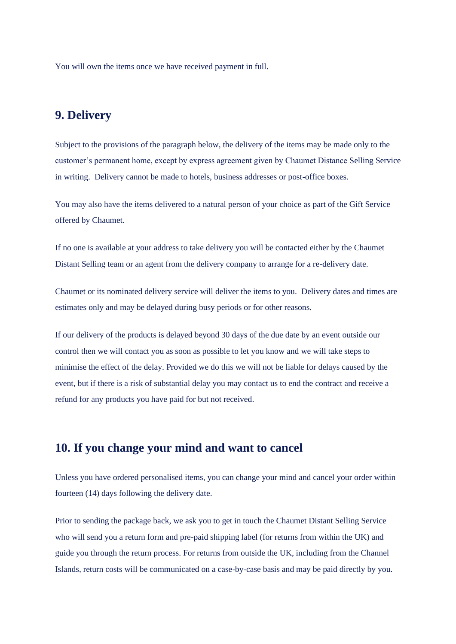You will own the items once we have received payment in full.

# **9. Delivery**

Subject to the provisions of the paragraph below, the delivery of the items may be made only to the customer's permanent home, except by express agreement given by Chaumet Distance Selling Service in writing. Delivery cannot be made to hotels, business addresses or post-office boxes.

You may also have the items delivered to a natural person of your choice as part of the Gift Service offered by Chaumet.

If no one is available at your address to take delivery you will be contacted either by the Chaumet Distant Selling team or an agent from the delivery company to arrange for a re-delivery date.

Chaumet or its nominated delivery service will deliver the items to you. Delivery dates and times are estimates only and may be delayed during busy periods or for other reasons.

If our delivery of the products is delayed beyond 30 days of the due date by an event outside our control then we will contact you as soon as possible to let you know and we will take steps to minimise the effect of the delay. Provided we do this we will not be liable for delays caused by the event, but if there is a risk of substantial delay you may contact us to end the contract and receive a refund for any products you have paid for but not received.

## **10. If you change your mind and want to cancel**

Unless you have ordered personalised items, you can change your mind and cancel your order within fourteen (14) days following the delivery date.

Prior to sending the package back, we ask you to get in touch the Chaumet Distant Selling Service who will send you a return form and pre-paid shipping label (for returns from within the UK) and guide you through the return process. For returns from outside the UK, including from the Channel Islands, return costs will be communicated on a case-by-case basis and may be paid directly by you.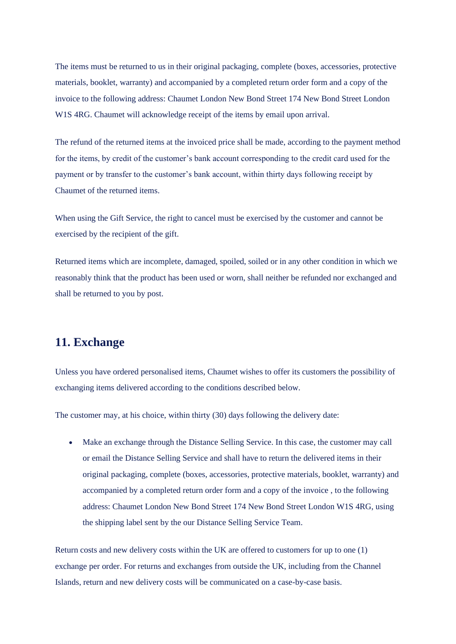The items must be returned to us in their original packaging, complete (boxes, accessories, protective materials, booklet, warranty) and accompanied by a completed return order form and a copy of the invoice to the following address: Chaumet London New Bond Street 174 New Bond Street London W1S 4RG. Chaumet will acknowledge receipt of the items by email upon arrival.

The refund of the returned items at the invoiced price shall be made, according to the payment method for the items, by credit of the customer's bank account corresponding to the credit card used for the payment or by transfer to the customer's bank account, within thirty days following receipt by Chaumet of the returned items.

When using the Gift Service, the right to cancel must be exercised by the customer and cannot be exercised by the recipient of the gift.

Returned items which are incomplete, damaged, spoiled, soiled or in any other condition in which we reasonably think that the product has been used or worn, shall neither be refunded nor exchanged and shall be returned to you by post.

## **11. Exchange**

Unless you have ordered personalised items, Chaumet wishes to offer its customers the possibility of exchanging items delivered according to the conditions described below.

The customer may, at his choice, within thirty (30) days following the delivery date:

• Make an exchange through the Distance Selling Service. In this case, the customer may call or email the Distance Selling Service and shall have to return the delivered items in their original packaging, complete (boxes, accessories, protective materials, booklet, warranty) and accompanied by a completed return order form and a copy of the invoice , to the following address: Chaumet London New Bond Street 174 New Bond Street London W1S 4RG, using the shipping label sent by the our Distance Selling Service Team.

Return costs and new delivery costs within the UK are offered to customers for up to one (1) exchange per order. For returns and exchanges from outside the UK, including from the Channel Islands, return and new delivery costs will be communicated on a case-by-case basis.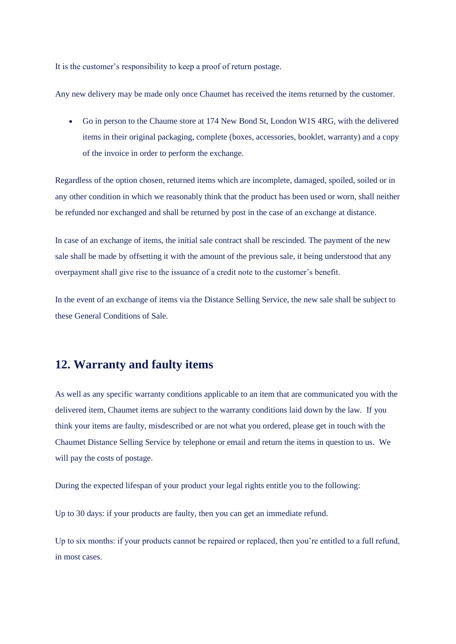It is the customer's responsibility to keep a proof of return postage.

Any new delivery may be made only once Chaumet has received the items returned by the customer.

• Go in person to the Chaume store at 174 New Bond St, London W1S 4RG, with the delivered items in their original packaging, complete (boxes, accessories, booklet, warranty) and a copy of the invoice in order to perform the exchange.

Regardless of the option chosen, returned items which are incomplete, damaged, spoiled, soiled or in any other condition in which we reasonably think that the product has been used or worn, shall neither be refunded nor exchanged and shall be returned by post in the case of an exchange at distance.

In case of an exchange of items, the initial sale contract shall be rescinded. The payment of the new sale shall be made by offsetting it with the amount of the previous sale, it being understood that any overpayment shall give rise to the issuance of a credit note to the customer's benefit.

In the event of an exchange of items via the Distance Selling Service, the new sale shall be subject to these General Conditions of Sale.

## **12. Warranty and faulty items**

As well as any specific warranty conditions applicable to an item that are communicated you with the delivered item, Chaumet items are subject to the warranty conditions laid down by the law. If you think your items are faulty, misdescribed or are not what you ordered, please get in touch with the Chaumet Distance Selling Service by telephone or email and return the items in question to us. We will pay the costs of postage.

During the expected lifespan of your product your legal rights entitle you to the following:

Up to 30 days: if your products are faulty, then you can get an immediate refund.

Up to six months: if your products cannot be repaired or replaced, then you're entitled to a full refund, in most cases.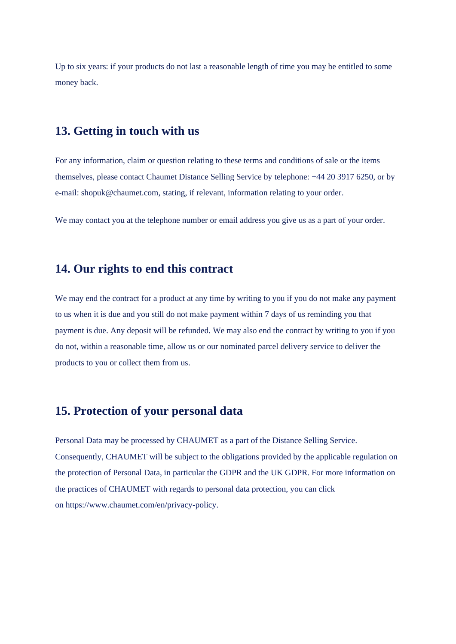Up to six years: if your products do not last a reasonable length of time you may be entitled to some money back.

## **13. Getting in touch with us**

For any information, claim or question relating to these terms and conditions of sale or the items themselves, please contact Chaumet Distance Selling Service by telephone: +44 20 3917 6250, or by e-mail: shopuk@chaumet.com, stating, if relevant, information relating to your order.

We may contact you at the telephone number or email address you give us as a part of your order.

## **14. Our rights to end this contract**

We may end the contract for a product at any time by writing to you if you do not make any payment to us when it is due and you still do not make payment within 7 days of us reminding you that payment is due. Any deposit will be refunded. We may also end the contract by writing to you if you do not, within a reasonable time, allow us or our nominated parcel delivery service to deliver the products to you or collect them from us.

### **15. Protection of your personal data**

Personal Data may be processed by CHAUMET as a part of the Distance Selling Service. Consequently, CHAUMET will be subject to the obligations provided by the applicable regulation on the protection of Personal Data, in particular the GDPR and the UK GDPR. For more information on the practices of CHAUMET with regards to personal data protection, you can click on [https://www.chaumet.com/en/privacy-policy.](https://www.chaumet.com/en/privacy-policy)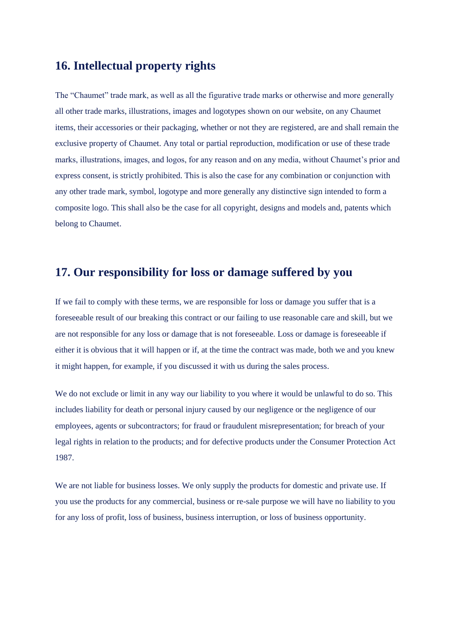# **16. Intellectual property rights**

The "Chaumet" trade mark, as well as all the figurative trade marks or otherwise and more generally all other trade marks, illustrations, images and logotypes shown on our website, on any Chaumet items, their accessories or their packaging, whether or not they are registered, are and shall remain the exclusive property of Chaumet. Any total or partial reproduction, modification or use of these trade marks, illustrations, images, and logos, for any reason and on any media, without Chaumet's prior and express consent, is strictly prohibited. This is also the case for any combination or conjunction with any other trade mark, symbol, logotype and more generally any distinctive sign intended to form a composite logo. This shall also be the case for all copyright, designs and models and, patents which belong to Chaumet.

### **17. Our responsibility for loss or damage suffered by you**

If we fail to comply with these terms, we are responsible for loss or damage you suffer that is a foreseeable result of our breaking this contract or our failing to use reasonable care and skill, but we are not responsible for any loss or damage that is not foreseeable. Loss or damage is foreseeable if either it is obvious that it will happen or if, at the time the contract was made, both we and you knew it might happen, for example, if you discussed it with us during the sales process.

We do not exclude or limit in any way our liability to you where it would be unlawful to do so. This includes liability for death or personal injury caused by our negligence or the negligence of our employees, agents or subcontractors; for fraud or fraudulent misrepresentation; for breach of your legal rights in relation to the products; and for defective products under the Consumer Protection Act 1987.

We are not liable for business losses. We only supply the products for domestic and private use. If you use the products for any commercial, business or re-sale purpose we will have no liability to you for any loss of profit, loss of business, business interruption, or loss of business opportunity.